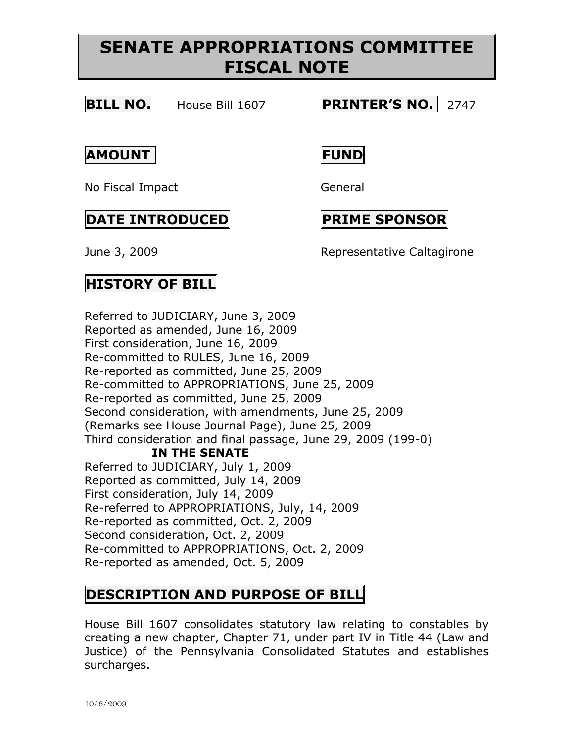## **SENATE APPROPRIATIONS COMMITTEE FISCAL NOTE**



#### **BILL NO.** House Bill 1607 **PRINTER'S NO.** 2747

**AMOUNT FUND**

No Fiscal Impact General

### **DATE INTRODUCED PRIME SPONSOR**

June 3, 2009 Representative Caltagirone

## **HISTORY OF BILL**

Referred to JUDICIARY, June 3, 2009 Reported as amended, June 16, 2009 First consideration, June 16, 2009 Re-committed to RULES, June 16, 2009 Re-reported as committed, June 25, 2009 Re-committed to APPROPRIATIONS, June 25, 2009 Re-reported as committed, June 25, 2009 Second consideration, with amendments, June 25, 2009 (Remarks see House Journal Page), June 25, 2009 Third consideration and final passage, June 29, 2009 (199-0) **IN THE SENATE** Referred to JUDICIARY, July 1, 2009 Reported as committed, July 14, 2009 First consideration, July 14, 2009 Re-referred to APPROPRIATIONS, July, 14, 2009 Re-reported as committed, Oct. 2, 2009 Second consideration, Oct. 2, 2009 Re-committed to APPROPRIATIONS, Oct. 2, 2009 Re-reported as amended, Oct. 5, 2009

## **DESCRIPTION AND PURPOSE OF BILL**

House Bill 1607 consolidates statutory law relating to constables by creating a new chapter, Chapter 71, under part IV in Title 44 (Law and Justice) of the Pennsylvania Consolidated Statutes and establishes surcharges.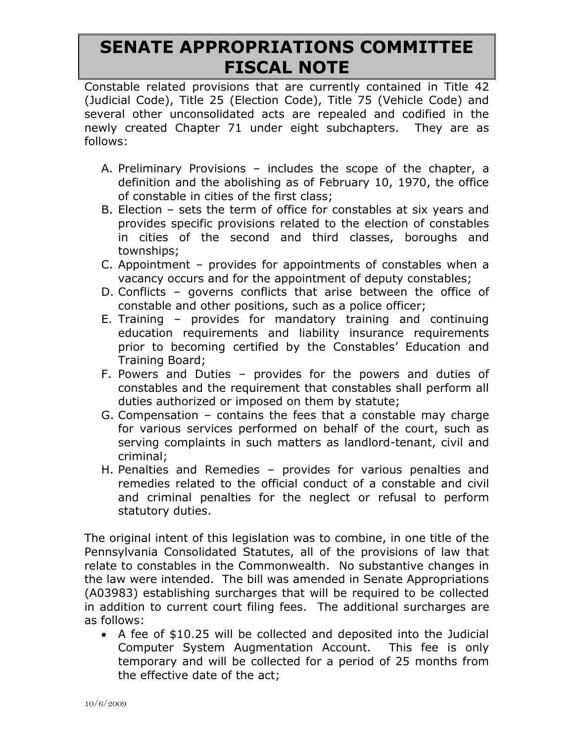# **SENATE APPROPRIATIONS COMMITTEE FISCAL NOTE**

Constable related provisions that are currently contained in Title 42 (Judicial Code), Title 25 (Election Code), Title 75 (Vehicle Code) and several other unconsolidated acts are repealed and codified in the newly created Chapter 71 under eight subchapters. They are as follows:

- A. Preliminary Provisions includes the scope of the chapter, a definition and the abolishing as of February 10, 1970, the office of constable in cities of the first class;
- B. Election sets the term of office for constables at six years and provides specific provisions related to the election of constables in cities of the second and third classes, boroughs and townships;
- C. Appointment provides for appointments of constables when a vacancy occurs and for the appointment of deputy constables;
- D. Conflicts governs conflicts that arise between the office of constable and other positions, such as a police officer;
- E. Training provides for mandatory training and continuing education requirements and liability insurance requirements prior to becoming certified by the Constables' Education and Training Board;
- F. Powers and Duties provides for the powers and duties of constables and the requirement that constables shall perform all duties authorized or imposed on them by statute;
- G. Compensation contains the fees that a constable may charge for various services performed on behalf of the court, such as serving complaints in such matters as landlord-tenant, civil and criminal;
- H. Penalties and Remedies provides for various penalties and remedies related to the official conduct of a constable and civil and criminal penalties for the neglect or refusal to perform statutory duties.

The original intent of this legislation was to combine, in one title of the Pennsylvania Consolidated Statutes, all of the provisions of law that relate to constables in the Commonwealth. No substantive changes in the law were intended. The bill was amended in Senate Appropriations (A03983) establishing surcharges that will be required to be collected in addition to current court filing fees. The additional surcharges are as follows:

 A fee of \$10.25 will be collected and deposited into the Judicial Computer System Augmentation Account. This fee is only temporary and will be collected for a period of 25 months from the effective date of the act;